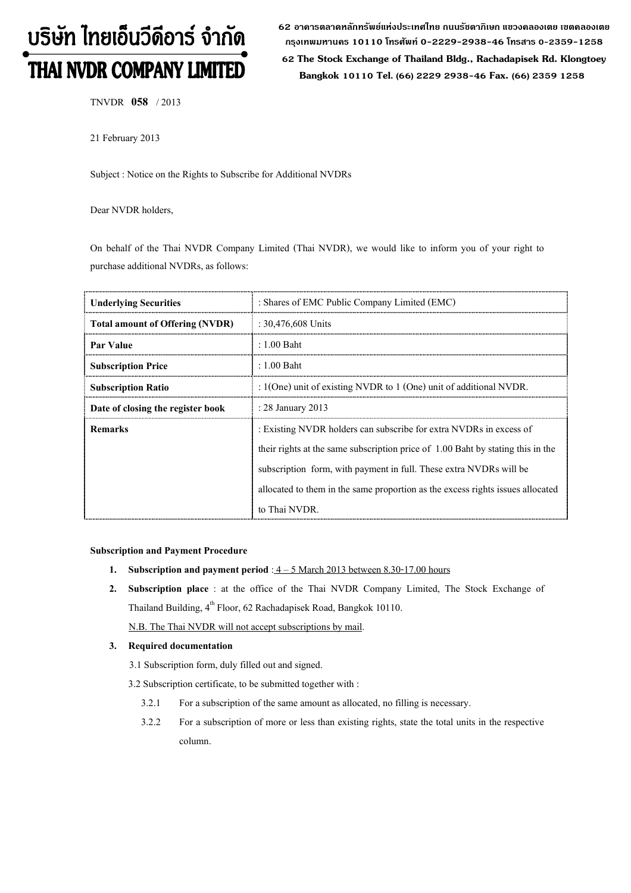# บริษัท ไทยเอ็นวีดีอาร์ จำกัด THAI NVDR COMPANY LIMITED

62 อาดารตลาดหลักทรัพย์แห่งประเทศไทย ถนนรัชดาภิเษก แขวงดลองเตย เขตดลองเตย กรุงเทพมหานดร 10110 โทรศัพท์ 0-2229-2938-46 โทรสาร 0-2359-1258

 62 The Stock Exchange of Thailand Bldg., Rachadapisek Rd. Klongtoey Bangkok 10110 Tel. (66) 2229 2938-46 Fax. (66) 2359 1258

TNVDR 058 / 2013

21 February 2013

Subject : Notice on the Rights to Subscribe for Additional NVDRs

Dear NVDR holders,

On behalf of the Thai NVDR Company Limited (Thai NVDR), we would like to inform you of your right to purchase additional NVDRs, as follows:

| <b>Underlying Securities</b>           | : Shares of EMC Public Company Limited (EMC)                                    |
|----------------------------------------|---------------------------------------------------------------------------------|
| <b>Total amount of Offering (NVDR)</b> | : $30,476,608$ Units                                                            |
| Par Value                              | $: 1.00$ Baht                                                                   |
| <b>Subscription Price</b>              | : 1.00 Baht                                                                     |
| <b>Subscription Ratio</b>              | : $1$ (One) unit of existing NVDR to $1$ (One) unit of additional NVDR.         |
| Date of closing the register book      | : 28 January 2013                                                               |
| <b>Remarks</b>                         | : Existing NVDR holders can subscribe for extra NVDRs in excess of              |
|                                        | their rights at the same subscription price of 1.00 Baht by stating this in the |
|                                        | subscription form, with payment in full. These extra NVDRs will be              |
|                                        | allocated to them in the same proportion as the excess rights issues allocated  |
|                                        | to Thai NVDR.                                                                   |

### Subscription and Payment Procedure

- 1. Subscription and payment period :  $4 5$  March 2013 between 8.30-17.00 hours
- 2. Subscription place : at the office of the Thai NVDR Company Limited, The Stock Exchange of Thailand Building, 4<sup>th</sup> Floor, 62 Rachadapisek Road, Bangkok 10110.

N.B. The Thai NVDR will not accept subscriptions by mail.

### 3. Required documentation

3.1 Subscription form, duly filled out and signed.

3.2 Subscription certificate, to be submitted together with :

- 3.2.1 For a subscription of the same amount as allocated, no filling is necessary.
- 3.2.2 For a subscription of more or less than existing rights, state the total units in the respective column.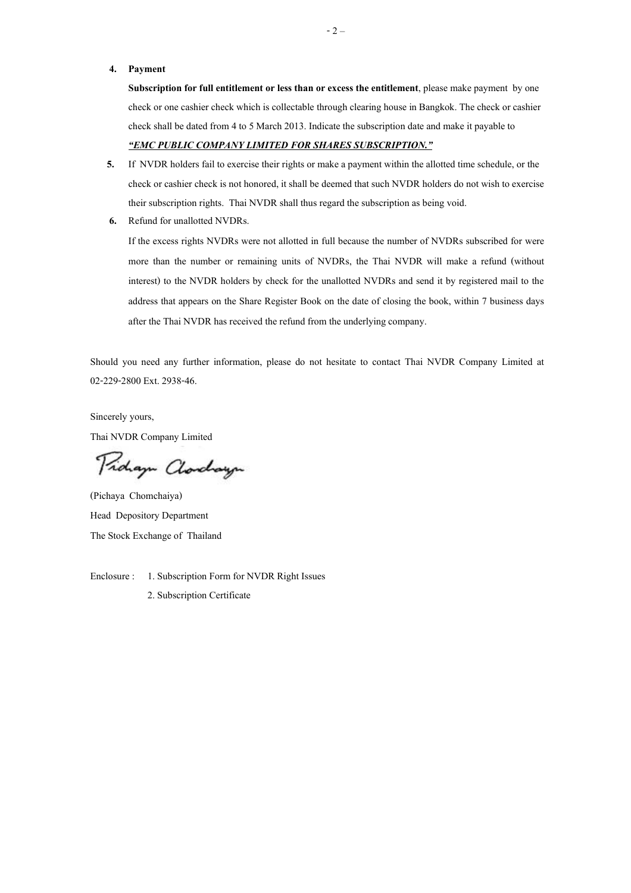### 4. Payment

Subscription for full entitlement or less than or excess the entitlement, please make payment by one check or one cashier check which is collectable through clearing house in Bangkok. The check or cashier check shall be dated from 4 to 5 March 2013. Indicate the subscription date and make it payable to -EMC PUBLIC COMPANY LIMITED FOR SHARES SUBSCRIPTION.

- 5. If NVDR holders fail to exercise their rights or make a payment within the allotted time schedule, or the check or cashier check is not honored, it shall be deemed that such NVDR holders do not wish to exercise their subscription rights. Thai NVDR shall thus regard the subscription as being void.
- 6. Refund for unallotted NVDRs.

If the excess rights NVDRs were not allotted in full because the number of NVDRs subscribed for were more than the number or remaining units of NVDRs, the Thai NVDR will make a refund (without interest) to the NVDR holders by check for the unallotted NVDRs and send it by registered mail to the address that appears on the Share Register Book on the date of closing the book, within 7 business days after the Thai NVDR has received the refund from the underlying company.

Should you need any further information, please do not hesitate to contact Thai NVDR Company Limited at 02-229-2800 Ext. 2938-46.

Sincerely yours, Thai NVDR Company Limited

Proham Clarchayn

(Pichaya Chomchaiya) Head Depository Department The Stock Exchange of Thailand

Enclosure : 1. Subscription Form for NVDR Right Issues

2. Subscription Certificate